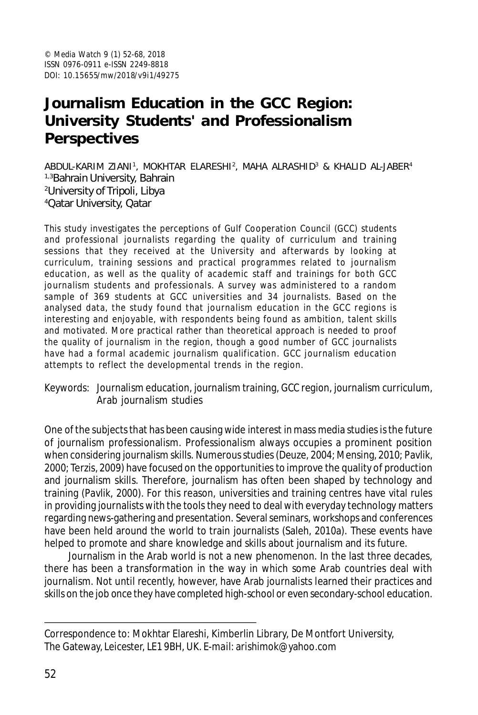# **Journalism Education in the GCC Region: University Students' and Professionalism Perspectives**

ABDUL-KARIM ZIANI', MOKHTAR ELARESHI<sup>2</sup>, MAHA ALRASHID<sup>3</sup> & KHALID AL-JABER<sup>4</sup> 1,3Bahrain University, Bahrain <sup>2</sup>University of Tripoli, Libya <sup>4</sup>Qatar University, Qatar

This study investigates the perceptions of Gulf Cooperation Council (GCC) students and professional journalists regarding the quality of curriculum and training sessions that they received at the University and afterwards by looking at curriculum, training sessions and practical programmes related to journalism education, as well as the quality of academic staff and trainings for both GCC journalism students and professionals. A survey was administered to a random sample of 369 students at GCC universities and 34 journalists. Based on the analysed data, the study found that journalism education in the GCC regions is interesting and enjoyable, with respondents being found as ambition, talent skills and motivated. More practical rather than theoretical approach is needed to proof the quality of journalism in the region, though a good number of GCC journalists have had a formal academic journalism qualification. GCC journalism education attempts to reflect the developmental trends in the region.

Keywords: Journalism education, journalism training, GCC region, journalism curriculum, Arab journalism studies

One of the subjects that has been causing wide interest in mass media studies is the future of journalism professionalism. Professionalism always occupies a prominent position when considering journalism skills. Numerous studies (Deuze, 2004; Mensing, 2010; Pavlik, 2000; Terzis, 2009) have focused on the opportunities to improve the quality of production and journalism skills. Therefore, journalism has often been shaped by technology and training (Pavlik, 2000). For this reason, universities and training centres have vital rules in providing journalists with the tools they need to deal with everyday technology matters regarding news-gathering and presentation. Several seminars, workshops and conferences have been held around the world to train journalists (Saleh, 2010a). These events have helped to promote and share knowledge and skills about journalism and its future.

Journalism in the Arab world is not a new phenomenon. In the last three decades, there has been a transformation in the way in which some Arab countries deal with journalism. Not until recently, however, have Arab journalists learned their practices and skills on the job once they have completed high-school or even secondary-school education.

Correspondence to: Mokhtar Elareshi, Kimberlin Library, De Montfort University, The Gateway, Leicester, LE1 9BH, UK. E-mail: arishimok@yahoo.com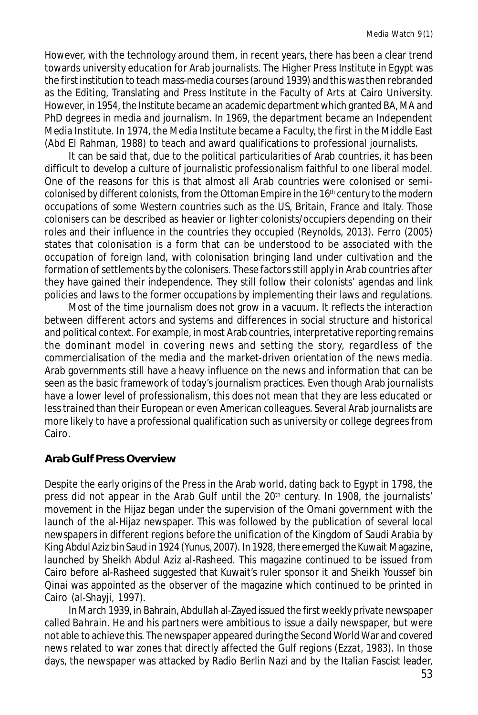However, with the technology around them, in recent years, there has been a clear trend towards university education for Arab journalists. The Higher Press Institute in Egypt was the first institution to teach mass-media courses (around 1939) and this was then rebranded as the Editing, Translating and Press Institute in the Faculty of Arts at Cairo University. However, in 1954, the Institute became an academic department which granted BA, MA and PhD degrees in media and journalism. In 1969, the department became an Independent Media Institute. In 1974, the Media Institute became a Faculty, the first in the Middle East (Abd El Rahman, 1988) to teach and award qualifications to professional journalists.

It can be said that, due to the political particularities of Arab countries, it has been difficult to develop a culture of journalistic professionalism faithful to one liberal model. One of the reasons for this is that almost all Arab countries were colonised or semicolonised by different colonists, from the Ottoman Empire in the  $16<sup>th</sup>$  century to the modern occupations of some Western countries such as the US, Britain, France and Italy. Those colonisers can be described as heavier or lighter colonists/occupiers depending on their roles and their influence in the countries they occupied (Reynolds, 2013). Ferro (2005) states that colonisation is a form that can be understood to be associated with the occupation of foreign land, with colonisation bringing land under cultivation and the formation of settlements by the colonisers. These factors still apply in Arab countries after they have gained their independence. They still follow their colonists' agendas and link policies and laws to the former occupations by implementing their laws and regulations.

Most of the time journalism does not grow in a vacuum. It reflects the interaction between different actors and systems and differences in social structure and historical and political context. For example, in most Arab countries, interpretative reporting remains the dominant model in covering news and setting the story, regardless of the commercialisation of the media and the market-driven orientation of the news media. Arab governments still have a heavy influence on the news and information that can be seen as the basic framework of today's journalism practices. Even though Arab journalists have a lower level of professionalism, this does not mean that they are less educated or less trained than their European or even American colleagues. Several Arab journalists are more likely to have a professional qualification such as university or college degrees from Cairo.

## **Arab Gulf Press Overview**

Despite the early origins of the Press in the Arab world, dating back to Egypt in 1798, the press did not appear in the Arab Gulf until the 20<sup>th</sup> century. In 1908, the journalists' movement in the Hijaz began under the supervision of the Omani government with the launch of the al-Hijaz newspaper. This was followed by the publication of several local newspapers in different regions before the unification of the Kingdom of Saudi Arabia by King Abdul Aziz bin Saud in 1924 (Yunus, 2007). In 1928, there emerged the Kuwait Magazine, launched by Sheikh Abdul Aziz al-Rasheed. This magazine continued to be issued from Cairo before al-Rasheed suggested that Kuwait's ruler sponsor it and Sheikh Youssef bin Qinai was appointed as the observer of the magazine which continued to be printed in Cairo (al-Shayji, 1997).

In March 1939, in Bahrain, Abdullah al-Zayed issued the first weekly private newspaper called *Bahrain*. He and his partners were ambitious to issue a daily newspaper, but were not able to achieve this. The newspaper appeared during the Second World War and covered news related to war zones that directly affected the Gulf regions (Ezzat, 1983). In those days, the newspaper was attacked by Radio Berlin Nazi and by the Italian Fascist leader,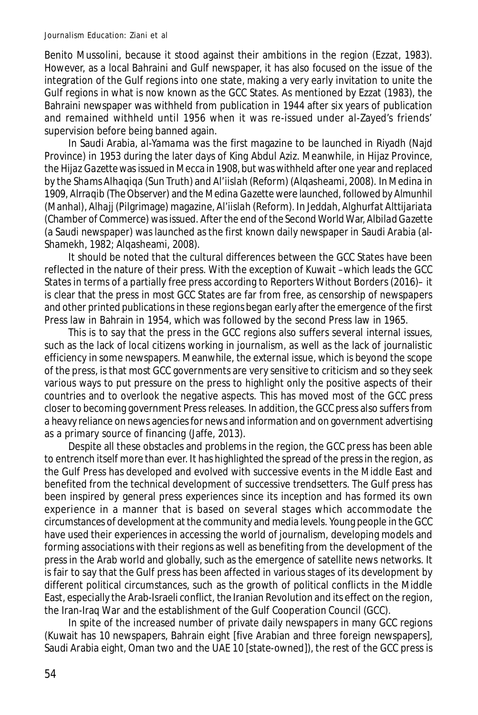#### Journalism Education: Ziani et al

Benito Mussolini, because it stood against their ambitions in the region (Ezzat, 1983). However, as a local Bahraini and Gulf newspaper, it has also focused on the issue of the integration of the Gulf regions into one state, making a very early invitation to unite the Gulf regions in what is now known as the GCC States. As mentioned by Ezzat (1983), the Bahraini newspaper was withheld from publication in 1944 after six years of publication and remained withheld until 1956 when it was re-issued under al-Zayed's friends' supervision before being banned again.

In Saudi Arabia, *al-Yamama* was the first magazine to be launched in Riyadh (Najd Province) in 1953 during the later days of King Abdul Aziz. Meanwhile, in Hijaz Province, the *Hijaz Gazette* was issued in Mecca in 1908, but was withheld after one year and replaced by the *Shams Alhaqiqa* (Sun Truth) and *Al'iislah* (Reform) (Alqasheami, 2008). In Medina in 1909, *Alrraqib* (The Observer) and the *Medina Gazette* were launched, followed by *Almunhil* (Manhal), *Alhajj* (Pilgrimage) magazine, *Al'iislah* (Reform). In Jeddah, *Alghurfat Alttijariata* (Chamber of Commerce) was issued. After the end of the Second World War, *Albilad Gazette* (a Saudi newspaper) was launched as the first known daily newspaper in Saudi Arabia (al-Shamekh, 1982; Algasheami, 2008).

It should be noted that the cultural differences between the GCC States have been reflected in the nature of their press. With the exception of Kuwait –which leads the GCC States in terms of a partially free press according to Reporters Without Borders (2016)– it is clear that the press in most GCC States are far from free, as censorship of newspapers and other printed publications in these regions began early after the emergence of the first Press law in Bahrain in 1954, which was followed by the second Press law in 1965.

This is to say that the press in the GCC regions also suffers several internal issues, such as the lack of local citizens working in journalism, as well as the lack of journalistic efficiency in some newspapers. Meanwhile, the external issue, which is beyond the scope of the press, is that most GCC governments are very sensitive to criticism and so they seek various ways to put pressure on the press to highlight *only* the positive aspects of their countries and to overlook the negative aspects. This has moved most of the GCC press closer to becoming government Press releases. In addition, the GCC press also suffers from a heavy reliance on news agencies for news and information and on government advertising as a primary source of financing (Jaffe, 2013).

Despite all these obstacles and problems in the region, the GCC press has been able to entrench itself more than ever. It has highlighted the spread of the press in the region, as the Gulf Press has developed and evolved with successive events in the Middle East and benefited from the technical development of successive trendsetters. The Gulf press has been inspired by general press experiences since its inception and has formed its own experience in a manner that is based on several stages which accommodate the circumstances of development at the community and media levels. Young people in the GCC have used their experiences in accessing the world of journalism, developing models and forming associations with their regions as well as benefiting from the development of the press in the Arab world and globally, such as the emergence of satellite news networks. It is fair to say that the Gulf press has been affected in various stages of its development by different political circumstances, such as the growth of political conflicts in the Middle East, especially the Arab-Israeli conflict, the Iranian Revolution and its effect on the region, the Iran-Iraq War and the establishment of the Gulf Cooperation Council (GCC).

In spite of the increased number of private daily newspapers in many GCC regions (Kuwait has 10 newspapers, Bahrain eight [five Arabian and three foreign newspapers], Saudi Arabia eight, Oman two and the UAE 10 [state-owned]), the rest of the GCC press is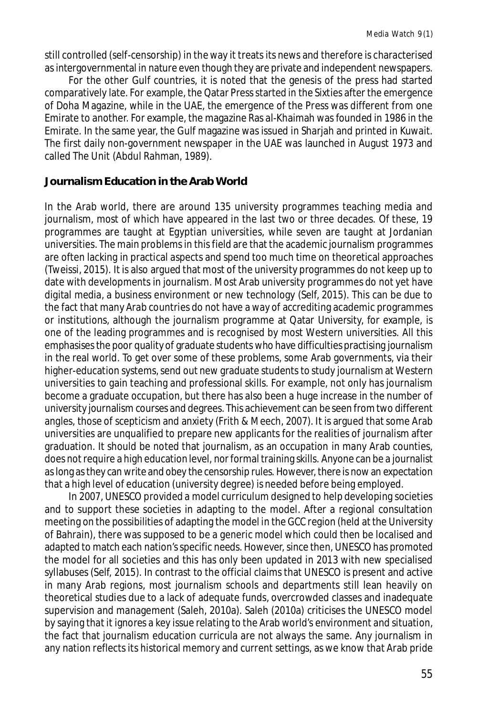still controlled (self-censorship) in the way it treats its news and therefore is characterised as intergovernmental in nature even though they are private and independent newspapers.

For the other Gulf countries, it is noted that the genesis of the press had started comparatively late. For example, the Qatar Press started in the Sixties after the emergence of Doha Magazine, while in the UAE, the emergence of the Press was different from one Emirate to another. For example, the magazine Ras al-Khaimah was founded in 1986 in the Emirate. In the same year, the Gulf magazine was issued in Sharjah and printed in Kuwait. The first daily non-government newspaper in the UAE was launched in August 1973 and called The Unit (Abdul Rahman, 1989).

### **Journalism Education in the Arab World**

In the Arab world, there are around 135 university programmes teaching media and journalism, most of which have appeared in the last two or three decades. Of these, 19 programmes are taught at Egyptian universities, while seven are taught at Jordanian universities. The main problems in this field are that the academic journalism programmes are often lacking in practical aspects and spend too much time on theoretical approaches (Tweissi, 2015). It is also argued that most of the university programmes do not keep up to date with developments in journalism. Most Arab university programmes do not yet have digital media, a business environment or new technology (Self, 2015). This can be due to the fact that many Arab countries do not have a way of accrediting academic programmes or institutions, although the journalism programme at Qatar University, for example, is one of the leading programmes and is recognised by most Western universities. All this emphasises the poor quality of graduate students who have difficulties practising journalism in the real world. To get over some of these problems, some Arab governments, via their higher-education systems, send out new graduate students to study journalism at Western universities to gain teaching and professional skills. For example, not only has journalism become a graduate occupation, but there has also been a huge increase in the number of university journalism courses and degrees. This achievement can be seen from two different angles, those of scepticism and anxiety (Frith & Meech, 2007). It is argued that some Arab universities are unqualified to prepare new applicants for the realities of journalism after graduation. It should be noted that journalism, as an occupation in many Arab counties, does not require a high education level, nor formal training skills. Anyone can be a journalist as long as they can write and *obey* the censorship rules. However, there is now an expectation that a high level of education (university degree) is needed before being employed.

In 2007, UNESCO provided a model curriculum designed to help developing societies and to support these societies in adapting to the model. After a regional consultation meeting on the possibilities of adapting the model in the GCC region (held at the University of Bahrain), there was supposed to be a generic model which could then be localised and adapted to match each nation's specific needs. However, since then, UNESCO has promoted the model for all societies and this has only been updated in 2013 with new specialised syllabuses (Self, 2015). In contrast to the official claims that UNESCO is present and active in many Arab regions, most journalism schools and departments still lean heavily on theoretical studies due to a lack of adequate funds, overcrowded classes and inadequate supervision and management (Saleh, 2010a). Saleh (2010a) criticises the UNESCO model by saying that it ignores a key issue relating to the Arab world's environment and situation, the fact that journalism education curricula are not always the same. Any journalism in any nation reflects its historical memory and current settings, as we know that Arab pride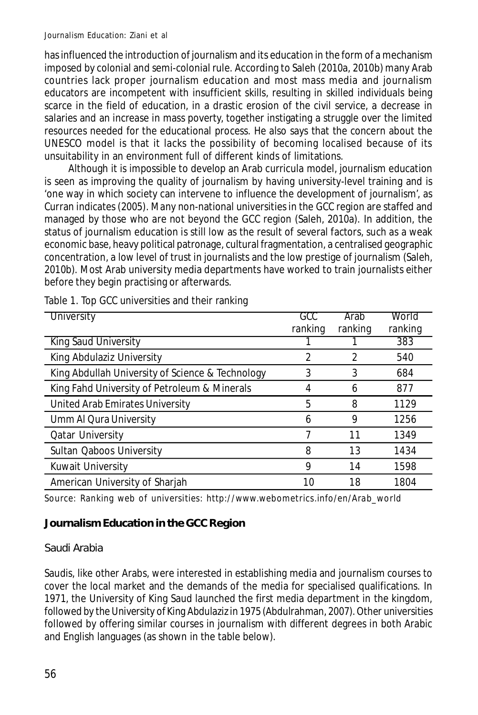has influenced the introduction of journalism and its education in the form of a mechanism imposed by colonial and semi-colonial rule. According to Saleh (2010a, 2010b) many Arab countries lack proper journalism education and most mass media and journalism educators are incompetent with insufficient skills, resulting in skilled individuals being scarce in the field of education, in a drastic erosion of the civil service, a decrease in salaries and an increase in mass poverty, together instigating a struggle over the limited resources needed for the educational process. He also says that the concern about the UNESCO model is that it lacks the possibility of becoming localised because of its unsuitability in an environment full of different kinds of limitations.

Although it is impossible to develop an Arab curricula model, journalism education is seen as improving the quality of journalism by having university-level training and is 'one way in which society can intervene to influence the development of journalism', as Curran indicates (2005). Many non-national universities in the GCC region are staffed and managed by those who are not beyond the GCC region (Saleh, 2010a). In addition, the status of journalism education is still low as the result of several factors, such as a weak economic base, heavy political patronage, cultural fragmentation, a centralised geographic concentration, a low level of trust in journalists and the low prestige of journalism (Saleh, 2010b). Most Arab university media departments have worked to train journalists either before they begin practising or afterwards.

| University                                       | GCC<br>ranking | Arab<br>ranking | World<br>ranking |
|--------------------------------------------------|----------------|-----------------|------------------|
| King Saud University                             |                |                 | 383              |
| King Abdulaziz University                        | 2              | 2               | 540              |
| King Abdullah University of Science & Technology | 3              | 3               | 684              |
| King Fahd University of Petroleum & Minerals     | 4              | 6               | 877              |
| United Arab Emirates University                  | 5              | 8               | 1129             |
| Umm Al Qura University                           | 6              | 9               | 1256             |
| <b>Qatar University</b>                          |                | 11              | 1349             |
| Sultan Qaboos University                         | 8              | 13              | 1434             |
| Kuwait University                                | 9              | 14              | 1598             |
| American University of Sharjah                   | 10             | 18              | 1804             |

Table 1. Top GCC universities and their ranking

Source: Ranking web of universities: http://www.webometrics.info/en/Arab\_world

# **Journalism Education in the GCC Region**

# Saudi Arabia

Saudis, like other Arabs, were interested in establishing media and journalism courses to cover the local market and the demands of the media for specialised qualifications. In 1971, the University of King Saud launched the first media department in the kingdom, followed by the University of King Abdulaziz in 1975 (Abdulrahman, 2007). Other universities followed by offering similar courses in journalism with different degrees in both Arabic and English languages (as shown in the table below).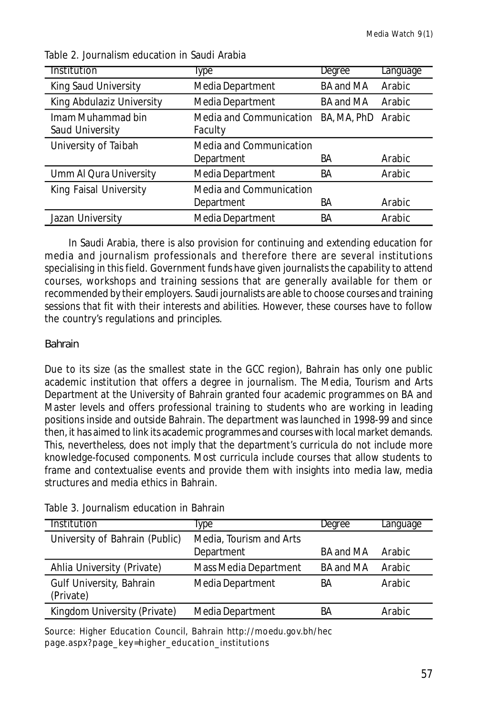| <b>Institution</b>                   | Type                                  | Degree           | Language |
|--------------------------------------|---------------------------------------|------------------|----------|
| King Saud University                 | Media Department                      | <b>BA and MA</b> | Arabic   |
| King Abdulaziz University            | Media Department                      | <b>BA and MA</b> | Arabic   |
| Imam Muhammad bin<br>Saud University | Media and Communication<br>Faculty    | BA, MA, PhD      | Arabic   |
| University of Taibah                 | Media and Communication<br>Department | BА               | Arabic   |
| Umm Al Qura University               | Media Department                      | BA               | Arabic   |
| King Faisal University               | Media and Communication<br>Department | ВA               | Arabic   |
| Jazan University                     | Media Department                      | BA               | Arabic   |

Table 2. Journalism education in Saudi Arabia

In Saudi Arabia, there is also provision for continuing and extending education for media and journalism professionals and therefore there are several institutions specialising in this field. Government funds have given journalists the capability to attend courses, workshops and training sessions that are generally available for them or recommended by their employers. Saudi journalists are able to choose courses and training sessions that fit with their interests and abilities. However, these courses have to follow the country's regulations and principles.

# Bahrain

Due to its size (as the smallest state in the GCC region), Bahrain has only one public academic institution that offers a degree in journalism. The Media, Tourism and Arts Department at the University of Bahrain granted four academic programmes on BA and Master levels and offers professional training to students who are working in leading positions inside and outside Bahrain. The department was launched in 1998-99 and since then, it has aimed to link its academic programmes and courses with local market demands. This, nevertheless, does not imply that the department's curricula do not include more knowledge-focused components. Most curricula include courses that allow students to frame and contextualise events and provide them with insights into media law, media structures and media ethics in Bahrain.

| Institution                           | lype                                  | Degree    | Language      |
|---------------------------------------|---------------------------------------|-----------|---------------|
| University of Bahrain (Public)        | Media, Tourism and Arts<br>Department | BA and MA | Arabic        |
| Ahlia University (Private)            | Mass Media Department                 | BA and MA | Arabic        |
| Gulf University, Bahrain<br>(Private) | Media Department                      | ВA        | <b>Arabic</b> |
| Kingdom University (Private)          | Media Department                      | ΒA        | Arabic        |

Table 3. Journalism education in Bahrain

Source: Higher Education Council, Bahrain http://moedu.gov.bh/hec page.aspx?page\_key=higher\_education\_institutions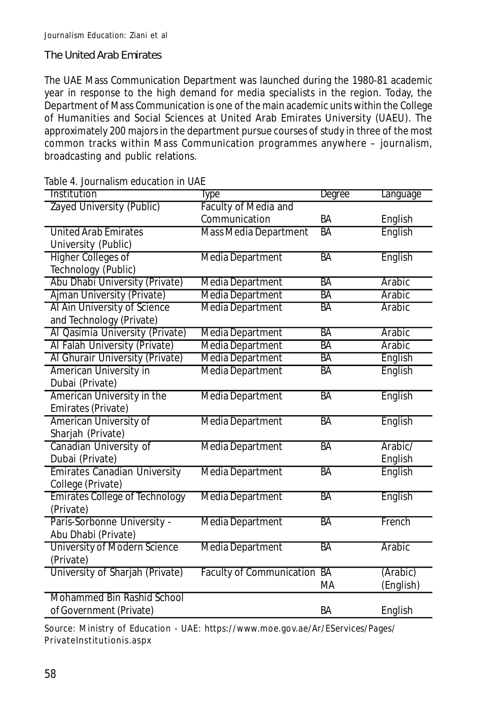### The United Arab Emirates

The UAE Mass Communication Department was launched during the 1980-81 academic year in response to the high demand for media specialists in the region. Today, the Department of Mass Communication is one of the main academic units within the College of Humanities and Social Sciences at United Arab Emirates University (UAEU). The approximately 200 majors in the department pursue courses of study in three of the most common tracks within Mass Communication programmes anywhere – journalism, broadcasting and public relations.

| Table 4. Journalism education in UAE |
|--------------------------------------|
|--------------------------------------|

| Institution                           | Type                         | Degree    | Language  |
|---------------------------------------|------------------------------|-----------|-----------|
| Zayed University (Public)             | <b>Faculty of Media and</b>  |           |           |
|                                       | Communication                | BA        | English   |
| <b>United Arab Emirates</b>           | <b>Mass Media Department</b> | <b>BA</b> | English   |
| University (Public)                   |                              |           |           |
| <b>Higher Colleges of</b>             | <b>Media Department</b>      | BA        | English   |
| Technology (Public)                   |                              |           |           |
| Abu Dhabi University (Private)        | <b>Media Department</b>      | <b>BA</b> | Arabic    |
| Ajman University (Private)            | <b>Media Department</b>      | <b>BA</b> | Arabic    |
| Al Ain University of Science          | Media Department             | <b>BA</b> | Arabic    |
| and Technology (Private)              |                              |           |           |
| Al Qasimia University (Private)       | <b>Media Department</b>      | <b>BA</b> | Arabic    |
| Al Falah University (Private)         | <b>Media Department</b>      | <b>BA</b> | Arabic    |
| Al Ghurair University (Private)       | <b>Media Department</b>      | <b>BA</b> | English   |
| American University in                | <b>Media Department</b>      | <b>BA</b> | English   |
| Dubai (Private)                       |                              |           |           |
| American University in the            | <b>Media Department</b>      | <b>BA</b> | English   |
| Emirates (Private)                    |                              |           |           |
| American University of                | <b>Media Department</b>      | <b>BA</b> | English   |
| Sharjah (Private)                     |                              |           |           |
| Canadian University of                | Media Department             | <b>BA</b> | Arabic/   |
| Dubai (Private)                       |                              |           | English   |
| Emirates Canadian University          | Media Department             | <b>BA</b> | English   |
| College (Private)                     |                              |           |           |
| <b>Emirates College of Technology</b> | <b>Media Department</b>      | <b>BA</b> | English   |
| (Private)                             |                              |           |           |
| Paris-Sorbonne University -           | Media Department             | <b>BA</b> | French    |
| Abu Dhabi (Private)                   |                              |           |           |
| <b>University of Modern Science</b>   | Media Department             | BA        | Arabic    |
| (Private)                             |                              |           |           |
| University of Sharjah (Private)       | Faculty of Communication BA  |           | (Arabic)  |
|                                       |                              | MA        | (English) |
| Mohammed Bin Rashid School            |                              |           |           |
| of Government (Private)               |                              | BA        | English   |

Source: Ministry of Education - UAE: https://www.moe.gov.ae/Ar/EServices/Pages/ PrivateInstitutionis.aspx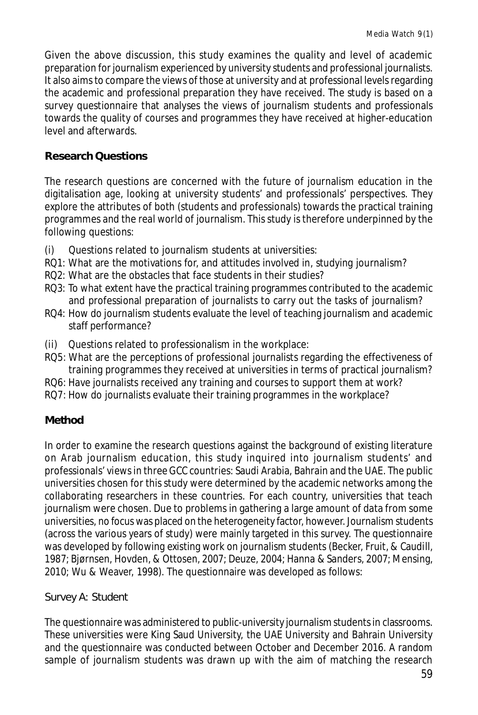Given the above discussion, this study examines the quality and level of academic preparation for journalism experienced by university students and professional journalists. It also aims to compare the views of those at university and at professional levels regarding the academic and professional preparation they have received. The study is based on a survey questionnaire that analyses the views of journalism students and professionals towards the quality of courses and programmes they have received at higher-education level and afterwards.

# **Research Questions**

The research questions are concerned with the future of journalism education in the digitalisation age, looking at university students' and professionals' perspectives. They explore the attributes of both (students and professionals) towards the practical training programmes and the real world of journalism. This study is therefore underpinned by the following questions:

- (i) Questions related to journalism students at universities:
- RQ1: What are the motivations for, and attitudes involved in, studying journalism?
- RQ2: What are the obstacles that face students in their studies?
- RQ3: To what extent have the practical training programmes contributed to the academic and professional preparation of journalists to carry out the tasks of journalism?
- RQ4: How do journalism students evaluate the level of teaching journalism and academic staff performance?
- (ii) Questions related to professionalism in the workplace:
- RQ5: What are the perceptions of professional journalists regarding the effectiveness of training programmes they received at universities in terms of practical journalism?
- RQ6: Have journalists received any training and courses to support them at work?
- RQ7: How do journalists evaluate their training programmes in the workplace?

# **Method**

In order to examine the research questions against the background of existing literature on Arab journalism education, this study inquired into journalism students' and professionals' views in three GCC countries: Saudi Arabia, Bahrain and the UAE. The public universities chosen for this study were determined by the academic networks among the collaborating researchers in these countries. For each country, universities that teach journalism were chosen. Due to problems in gathering a large amount of data from some universities, no focus was placed on the heterogeneity factor, however. Journalism students (across the various years of study) were mainly targeted in this survey. The questionnaire was developed by following existing work on journalism students (Becker, Fruit, & Caudill, 1987; Bjørnsen, Hovden, & Ottosen, 2007; Deuze, 2004; Hanna & Sanders, 2007; Mensing, 2010; Wu & Weaver, 1998). The questionnaire was developed as follows:

# Survey A: Student

The questionnaire was administered to public-university journalism students in classrooms. These universities were King Saud University, the UAE University and Bahrain University and the questionnaire was conducted between October and December 2016. A random sample of journalism students was drawn up with the aim of matching the research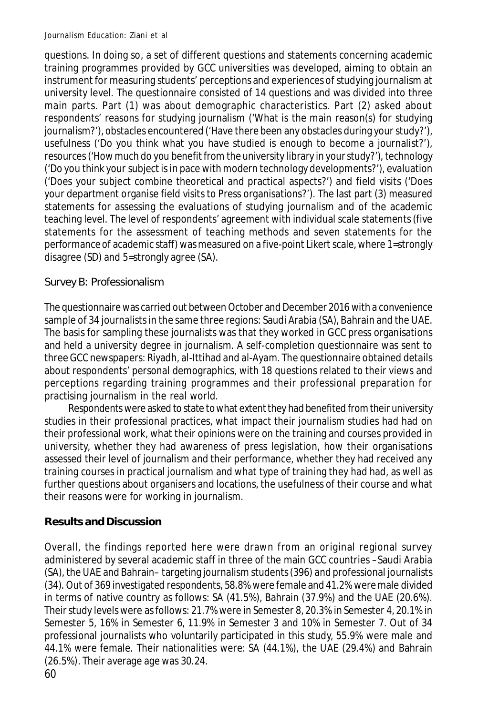questions. In doing so, a set of different questions and statements concerning academic training programmes provided by GCC universities was developed, aiming to obtain an instrument for measuring students' perceptions and experiences of studying journalism at university level. The questionnaire consisted of 14 questions and was divided into three main parts. Part (1) was about demographic characteristics. Part (2) asked about respondents' reasons for studying journalism ('What is the main reason(s) for studying journalism?'), obstacles encountered ('Have there been any obstacles during your study?'), usefulness ('Do you think what you have studied is enough to become a journalist?'), resources ('How much do you benefit from the university library in your study?'), technology ('Do you think your subject is in pace with modern technology developments?'), evaluation ('Does your subject combine theoretical and practical aspects?') and field visits ('Does your department organise field visits to Press organisations?'). The last part (3) measured statements for assessing the evaluations of studying journalism and of the academic teaching level. The level of respondents' agreement with individual scale statements (five statements for the assessment of teaching methods and seven statements for the performance of academic staff) was measured on a five-point Likert scale, where 1=strongly disagree (SD) and 5=strongly agree (SA).

# Survey B: Professionalism

The questionnaire was carried out between October and December 2016 with a convenience sample of 34 journalists in the same three regions: Saudi Arabia (SA), Bahrain and the UAE. The basis for sampling these journalists was that they worked in GCC press organisations and held a university degree in journalism. A self-completion questionnaire was sent to three GCC newspapers: Riyadh, al-Ittihad and al-Ayam. The questionnaire obtained details about respondents' personal demographics, with 18 questions related to their views and perceptions regarding training programmes and their professional preparation for practising journalism in the real world.

Respondents were asked to state to what extent they had benefited from their university studies in their professional practices, what impact their journalism studies had had on their professional work, what their opinions were on the training and courses provided in university, whether they had awareness of press legislation, how their organisations assessed their level of journalism and their performance, whether they had received any training courses in practical journalism and what type of training they had had, as well as further questions about organisers and locations, the usefulness of their course and what their reasons were for working in journalism.

# **Results and Discussion**

Overall, the findings reported here were drawn from an original regional survey administered by several academic staff in three of the main GCC countries –Saudi Arabia (SA), the UAE and Bahrain– targeting journalism students (396) and professional journalists (34). Out of 369 investigated respondents, 58.8% were female and 41.2% were male divided in terms of native country as follows: SA (41.5%), Bahrain (37.9%) and the UAE (20.6%). Their study levels were as follows: 21.7% were in Semester 8, 20.3% in Semester 4, 20.1% in Semester 5, 16% in Semester 6, 11.9% in Semester 3 and 10% in Semester 7. Out of 34 professional journalists who voluntarily participated in this study, 55.9% were male and 44.1% were female. Their nationalities were: SA (44.1%), the UAE (29.4%) and Bahrain (26.5%). Their average age was 30.24.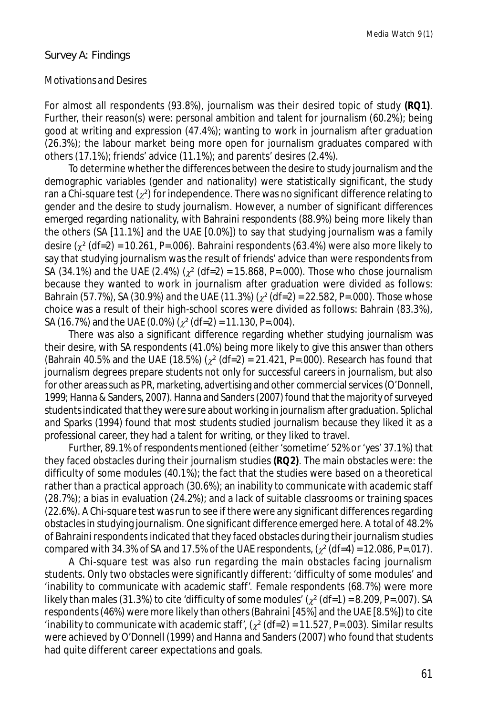#### Survey A: Findings

#### *Motivations and Desires*

For almost all respondents (93.8%), journalism was their desired topic of study **(RQ1)**. Further, their reason(s) were: personal ambition and talent for journalism (60.2%); being good at writing and expression (47.4%); wanting to work in journalism after graduation (26.3%); the labour market being more open for journalism graduates compared with others (17.1%); friends' advice (11.1%); and parents' desires (2.4%).

To determine whether the differences between the desire to study journalism and the demographic variables (gender and nationality) were statistically significant, the study ran a Chi-square test  $(z^2)$  for independence. There was no significant difference relating to gender and the desire to study journalism. However, a number of significant differences emerged regarding nationality, with Bahraini respondents (88.9%) being more likely than the others (SA [11.1%] and the UAE [0.0%]) to say that studying journalism was a family desire  $\left(\gamma^2\right)$  (df=2) = 10.261, P=.006). Bahraini respondents (63.4%) were also more likely to say that studying journalism was the result of friends' advice than were respondents from SA (34.1%) and the UAE (2.4%) ( $\chi^2$  (df=2) = 15.868, P=.000). Those who chose journalism because they wanted to work in journalism after graduation were divided as follows: Bahrain (57.7%), SA (30.9%) and the UAE (11.3%) ( $\chi^2$  (df=2) = 22.582, P=.000). Those whose choice was a result of their high-school scores were divided as follows: Bahrain (83.3%), SA (16.7%) and the UAE (0.0%) ( $\chi^2$  (df=2) = 11.130, P=.004).

There was also a significant difference regarding whether studying journalism was their desire, with SA respondents (41.0%) being more likely to give this answer than others (Bahrain 40.5% and the UAE (18.5%) ( $\chi^2$  (df=2) = 21.421, P=.000). Research has found that journalism degrees prepare students not only for successful careers in journalism, but also for other areas such as PR, marketing, advertising and other commercial services (O'Donnell, 1999; Hanna & Sanders, 2007). Hanna and Sanders (2007) found that the majority of surveyed students indicated that they were sure about working in journalism after graduation. Splichal and Sparks (1994) found that most students studied journalism because they liked it as a professional career, they had a talent for writing, or they liked to travel.

Further, 89.1% of respondents mentioned (either 'sometime' 52% or 'yes' 37.1%) that they faced obstacles during their journalism studies **(RQ2)**. The main obstacles were: the difficulty of some modules (40.1%); the fact that the studies were based on a theoretical rather than a practical approach (30.6%); an inability to communicate with academic staff (28.7%); a bias in evaluation (24.2%); and a lack of suitable classrooms or training spaces (22.6%). A Chi-square test was run to see if there were any significant differences regarding obstacles in studying journalism. One significant difference emerged here. A total of 48.2% of Bahraini respondents indicated that they faced obstacles during their journalism studies compared with 34.3% of SA and 17.5% of the UAE respondents,  $\left(\chi^2\right)$  (df=4) = 12.086, P=.017).

A Chi-square test was also run regarding the main obstacles facing journalism students. Only two obstacles were significantly different: 'difficulty of some modules' and 'inability to communicate with academic staff'. Female respondents (68.7%) were more likely than males (31.3%) to cite 'difficulty of some modules'  $\left(\chi^2\right)$  (df=1) = 8.209, *P*=.007). SA respondents (46%) were more likely than others (Bahraini [45%] and the UAE [8.5%]) to cite 'inability to communicate with academic staff',  $\left( \frac{x^2}{dt^2} \right) = 11.527$ , *P*=.003). Similar results were achieved by O'Donnell (1999) and Hanna and Sanders (2007) who found that students had quite different career expectations and goals.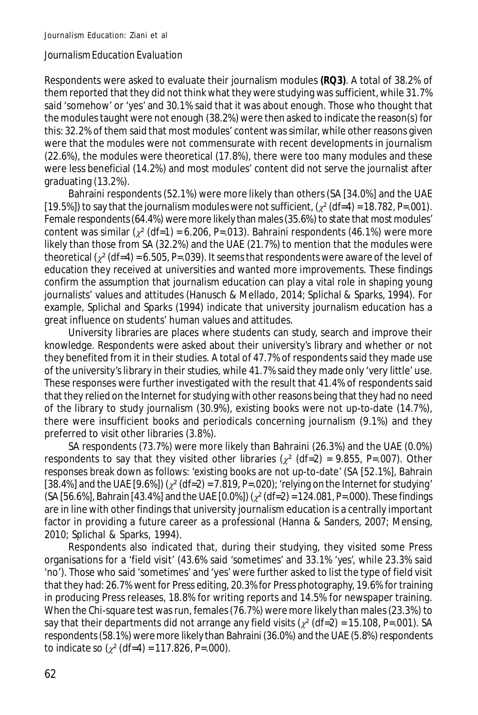### *Journalism Education Evaluation*

Respondents were asked to evaluate their journalism modules **(RQ3)**. A total of 38.2% of them reported that they did not think what they were studying was sufficient, while 31.7% said 'somehow' or 'yes' and 30.1% said that it was about enough. Those who thought that the modules taught were not enough (38.2%) were then asked to indicate the reason(s) for this: 32.2% of them said that most modules' content was similar, while other reasons given were that the modules were not commensurate with recent developments in journalism (22.6%), the modules were theoretical (17.8%), there were too many modules and these were less beneficial (14.2%) and most modules' content did not serve the journalist after graduating (13.2%).

Bahraini respondents (52.1%) were more likely than others (SA [34.0%] and the UAE [19.5%]) to say that the journalism modules were not sufficient,  $\left(\chi^2\right)$  (df=4) = 18.782, P=.001). Female respondents (64.4%) were more likely than males (35.6%) to state that most modules' content was similar  $\left(\chi^2\right)$  (df=1) = 6.206, P=.013). Bahraini respondents (46.1%) were more likely than those from SA (32.2%) and the UAE (21.7%) to mention that the modules were theoretical  $\left(\chi^2\right)$  (df=4) = 6.505, P=.039). It seems that respondents were aware of the level of education they received at universities and wanted more improvements. These findings confirm the assumption that journalism education can play a vital role in shaping young journalists' values and attitudes (Hanusch & Mellado, 2014; Splichal & Sparks, 1994). For example, Splichal and Sparks (1994) indicate that university journalism education has a great influence on students' human values and attitudes.

University libraries are places where students can study, search and improve their knowledge. Respondents were asked about their university's library and whether or not they benefited from it in their studies. A total of 47.7% of respondents said they made use of the university's library in their studies, while 41.7% said they made only 'very little' use. These responses were further investigated with the result that 41.4% of respondents said that they relied on the Internet for studying with other reasons being that they had no need of the library to study journalism (30.9%), existing books were not up-to-date (14.7%), there were insufficient books and periodicals concerning journalism (9.1%) and they preferred to visit other libraries (3.8%).

SA respondents (73.7%) were more likely than Bahraini (26.3%) and the UAE (0.0%) respondents to say that they visited other libraries ( $\chi^2$  (df=2) = 9.855, P=.007). Other responses break down as follows: 'existing books are not up-to-date' (SA [52.1%], Bahrain [38.4%] and the UAE  $[9.6\%]$  ( $\chi^2$  (df=2) = 7.819, P=.020); 'relying on the Internet for studying'  $(SA [56.6\%],$  Bahrain [43.4%] and the UAE [0.0%]) ( $\chi^2$  (df=2) = 124.081, *P*=.000). These findings are in line with other findings that university journalism education is a centrally important factor in providing a future career as a professional (Hanna & Sanders, 2007; Mensing, 2010; Splichal & Sparks, 1994).

Respondents also indicated that, during their studying, they visited some Press organisations for a 'field visit' (43.6% said 'sometimes' and 33.1% 'yes', while 23.3% said 'no'). Those who said 'sometimes' and 'yes' were further asked to list the type of field visit that they had: 26.7% went for Press editing, 20.3% for Press photography, 19.6% for training in producing Press releases, 18.8% for writing reports and 14.5% for newspaper training. When the Chi-square test was run, females (76.7%) were more likely than males (23.3%) to say that their departments did not arrange any field visits  $\left(\chi^2\right)$  (df=2) = 15.108, P=.001). SA respondents (58.1%) were more likely than Bahraini (36.0%) and the UAE (5.8%) respondents to indicate so  $(y^2 (df=4) = 117.826, P=.000)$ .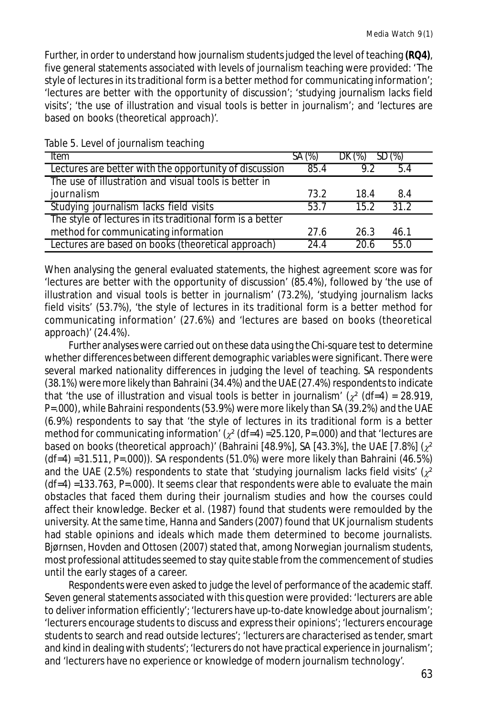Further, in order to understand how journalism students judged the level of teaching **(RQ4)**, five general statements associated with levels of journalism teaching were provided: 'The style of lectures in its traditional form is a better method for communicating information'; 'lectures are better with the opportunity of discussion'; 'studying journalism lacks field visits'; 'the use of illustration and visual tools is better in journalism'; and 'lectures are based on books (theoretical approach)'.

| <b>Item</b>                                               | SA (%) | DK (%) | SD (%) |
|-----------------------------------------------------------|--------|--------|--------|
| Lectures are better with the opportunity of discussion    | 85.4   | 92     | 5.4    |
| The use of illustration and visual tools is better in     |        |        |        |
| journalism                                                | 73.2   | 18.4   | 8.4    |
| Studying journalism lacks field visits                    | 53.7   | 15.2   | 312    |
| The style of lectures in its traditional form is a better |        |        |        |
| method for communicating information                      | 27.6   | 26.3   | 46.1   |
| Lectures are based on books (theoretical approach)        | 24.4   | 20 R   | 55.0   |

Table 5. Level of journalism teaching

When analysing the general evaluated statements, the highest agreement score was for 'lectures are better with the opportunity of discussion' (85.4%), followed by 'the use of illustration and visual tools is better in journalism' (73.2%), 'studying journalism lacks field visits' (53.7%), 'the style of lectures in its traditional form is a better method for communicating information' (27.6%) and 'lectures are based on books (theoretical approach)' (24.4%).

Further analyses were carried out on these data using the Chi-square test to determine whether differences between different demographic variables were significant. There were several marked nationality differences in judging the level of teaching. SA respondents (38.1%) were more likely than Bahraini (34.4%) and the UAE (27.4%) respondents to indicate that 'the use of illustration and visual tools is better in journalism' ( $x^2$  (df=4) = 28.919, *P*=.000), while Bahraini respondents (53.9%) were more likely than SA (39.2%) and the UAE (6.9%) respondents to say that 'the style of lectures in its traditional form is a better method for communicating information'  $(\chi^2$  (df=4) =25.120, P=.000) and that 'lectures are based on books (theoretical approach)' (Bahraini [48.9%], SA [43.3%], the UAE [7.8%] ( $x^2$ (df=4) =31.511, *P*=.000)). SA respondents (51.0%) were more likely than Bahraini (46.5%) and the UAE (2.5%) respondents to state that 'studying journalism lacks field visits' ( $\chi^2$ (df=4) =133.763, *P*=.000). It seems clear that respondents were able to evaluate the main obstacles that faced them during their journalism studies and how the courses could affect their knowledge. Becker et al. (1987) found that students were remoulded by the university. At the same time, Hanna and Sanders (2007) found that UK journalism students had stable opinions and ideals which made them determined to become journalists. Bjørnsen, Hovden and Ottosen (2007) stated that, among Norwegian journalism students, most professional attitudes seemed to stay quite stable from the commencement of studies until the early stages of a career.

Respondents were even asked to judge the level of performance of the academic staff. Seven general statements associated with this question were provided: 'lecturers are able to deliver information efficiently'; 'lecturers have up-to-date knowledge about journalism'; 'lecturers encourage students to discuss and express their opinions'; 'lecturers encourage students to search and read outside lectures'; 'lecturers are characterised as tender, smart and kind in dealing with students'; 'lecturers do not have practical experience in journalism'; and 'lecturers have no experience or knowledge of modern journalism technology'.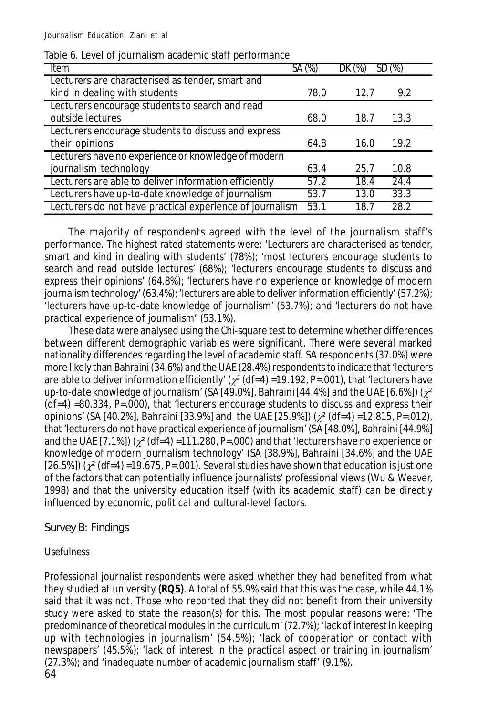| Ttem                                                     | SA (%) | $DK (\%)$ | $SD(\%)$ |
|----------------------------------------------------------|--------|-----------|----------|
| Lecturers are characterised as tender, smart and         |        |           |          |
| kind in dealing with students                            | 78.0   | 12.7      | 9.2      |
| Lecturers encourage students to search and read          |        |           |          |
| outside lectures                                         | 68.0   | 18.7      | 13.3     |
| Lecturers encourage students to discuss and express      |        |           |          |
| their opinions                                           | 64.8   | 16.0      | 19.2     |
| Lecturers have no experience or knowledge of modern      |        |           |          |
| journalism technology                                    | 63.4   | 25.7      | 10.8     |
| Lecturers are able to deliver information efficiently    | 57.2   | 18.4      | 24.4     |
| Lecturers have up-to-date knowledge of journalism        | 53.7   | 13.0      | 33.3     |
| Lecturers do not have practical experience of journalism | 53.1   | 18.7      | 28.2     |

#### Table 6. Level of journalism academic staff performance

The majority of respondents agreed with the level of the journalism staff's performance. The highest rated statements were: 'Lecturers are characterised as tender, smart and kind in dealing with students' (78%); 'most lecturers encourage students to search and read outside lectures' (68%); 'lecturers encourage students to discuss and express their opinions' (64.8%); 'lecturers have no experience or knowledge of modern journalism technology' (63.4%); 'lecturers are able to deliver information efficiently' (57.2%); 'lecturers have up-to-date knowledge of journalism' (53.7%); and 'lecturers do not have practical experience of journalism' (53.1%).

These data were analysed using the Chi-square test to determine whether differences between different demographic variables were significant. There were several marked nationality differences regarding the level of academic staff. SA respondents (37.0%) were more likely than Bahraini (34.6%) and the UAE (28.4%) respondents to indicate that 'lecturers are able to deliver information efficiently'  $(x^2 (df=4) = 19.192, P=.001)$ , that 'lecturers have up-to-date knowledge of journalism' (SA [49.0%], Bahraini [44.4%] and the UAE [6.6%]) ( $\chi^2$ (df=4) =80.334, *P*=.000), that 'lecturers encourage students to discuss and express their opinions' (SA [40.2%], Bahraini [33.9%] and the UAE [25.9%]) (² (df=4) =12.815, *P*=.012), that 'lecturers do not have practical experience of journalism' (SA [48.0%], Bahraini [44.9%] and the UAE  $[7.1\%]$  ( $\chi^2$  (df=4) =111.280, P=.000) and that 'lecturers have no experience or knowledge of modern journalism technology' (SA [38.9%], Bahraini [34.6%] and the UAE [26.5%])  $(\chi^2$  (df=4) =19.675, P=.001). Several studies have shown that education is just one of the factors that can potentially influence journalists' professional views (Wu & Weaver, 1998) and that the university education itself (with its academic staff) can be directly influenced by economic, political and cultural-level factors.

## Survey B: Findings

## *Usefulness*

64 Professional journalist respondents were asked whether they had benefited from what they studied at university **(RQ5)**. A total of 55.9% said that this was the case, while 44.1% said that it was not. Those who reported that they did not benefit from their university study were asked to state the reason(s) for this. The most popular reasons were: 'The predominance of theoretical modules in the curriculum' (72.7%); 'lack of interest in keeping up with technologies in journalism' (54.5%); 'lack of cooperation or contact with newspapers' (45.5%); 'lack of interest in the practical aspect or training in journalism' (27.3%); and 'inadequate number of academic journalism staff' (9.1%).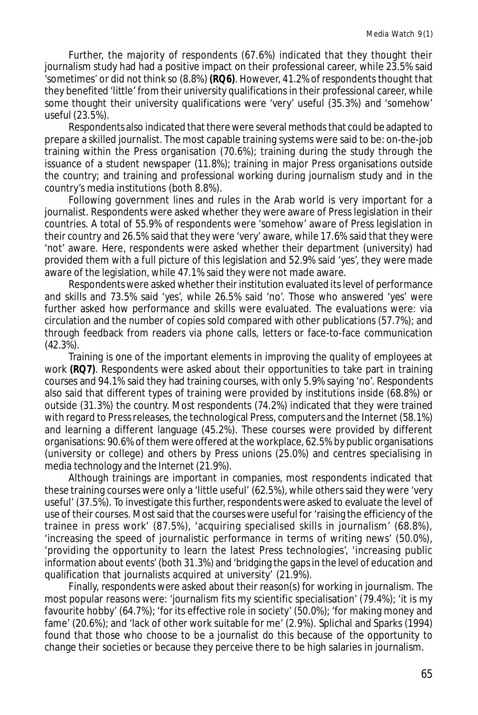Further, the majority of respondents (67.6%) indicated that they thought their journalism study had had a positive impact on their professional career, while 23.5% said 'sometimes' or did not think so (8.8%) **(RQ6)**. However, 41.2% of respondents thought that they benefited 'little' from their university qualifications in their professional career, while some thought their university qualifications were 'very' useful (35.3%) and 'somehow' useful (23.5%).

Respondents also indicated that there were several methods that could be adapted to prepare a skilled journalist. The most capable training systems were said to be: on-the-job training within the Press organisation (70.6%); training during the study through the issuance of a student newspaper (11.8%); training in major Press organisations outside the country; and training and professional working during journalism study and in the country's media institutions (both 8.8%).

Following government lines and rules in the Arab world is very important for a journalist. Respondents were asked whether they were aware of Press legislation in their countries. A total of 55.9% of respondents were 'somehow' aware of Press legislation in their country and 26.5% said that they were 'very' aware, while 17.6% said that they were 'not' aware. Here, respondents were asked whether their department (university) had provided them with a full picture of this legislation and 52.9% said 'yes', they were made aware of the legislation, while 47.1% said they were not made aware.

Respondents were asked whether their institution evaluated its level of performance and skills and 73.5% said 'yes', while 26.5% said 'no'. Those who answered 'yes' were further asked how performance and skills were evaluated. The evaluations were: via circulation and the number of copies sold compared with other publications (57.7%); and through feedback from readers via phone calls, letters or face-to-face communication (42.3%).

Training is one of the important elements in improving the quality of employees at work **(RQ7)**. Respondents were asked about their opportunities to take part in training courses and 94.1% said they had training courses, with only 5.9% saying 'no'. Respondents also said that different types of training were provided by institutions inside (68.8%) or outside (31.3%) the country. Most respondents (74.2%) indicated that they were trained with regard to Press releases, the technological Press, computers and the Internet (58.1%) and learning a different language (45.2%). These courses were provided by different organisations: 90.6% of them were offered at the workplace, 62.5% by public organisations (university or college) and others by Press unions (25.0%) and centres specialising in media technology and the Internet (21.9%).

Although trainings are important in companies, most respondents indicated that these training courses were only a 'little useful' (62.5%), while others said they were 'very useful' (37.5%). To investigate this further, respondents were asked to evaluate the level of use of their courses. Most said that the courses were useful for 'raising the efficiency of the trainee in press work' (87.5%), 'acquiring specialised skills in journalism' (68.8%), 'increasing the speed of journalistic performance in terms of writing news' (50.0%), 'providing the opportunity to learn the latest Press technologies', 'increasing public information about events' (both 31.3%) and 'bridging the gaps in the level of education and qualification that journalists acquired at university' (21.9%).

Finally, respondents were asked about their reason(s) for working in journalism. The most popular reasons were: 'journalism fits my scientific specialisation' (79.4%); 'it is my favourite hobby' (64.7%); 'for its effective role in society' (50.0%); 'for making money and fame' (20.6%); and 'lack of other work suitable for me' (2.9%). Splichal and Sparks (1994) found that those who choose to be a journalist do this because of the opportunity to change their societies or because they perceive there to be high salaries in journalism.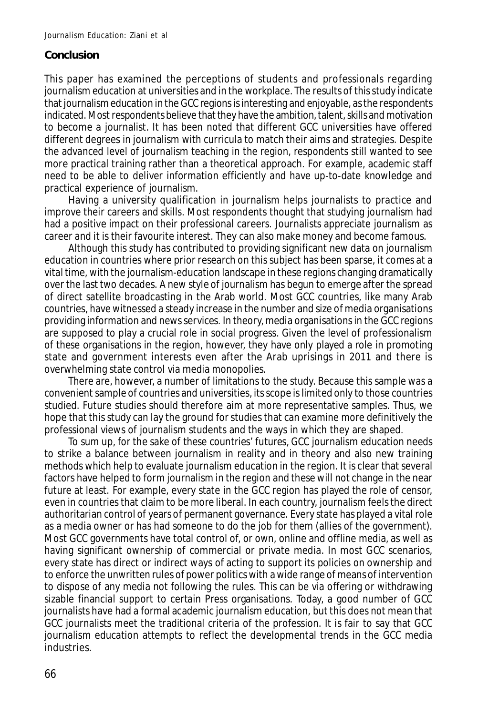## **Conclusion**

This paper has examined the perceptions of students and professionals regarding journalism education at universities and in the workplace. The results of this study indicate that journalism education in the GCC regions is interesting and enjoyable, as the respondents indicated. Most respondents believe that they have the ambition, talent, skills and motivation to become a journalist. It has been noted that different GCC universities have offered different degrees in journalism with curricula to match their aims and strategies. Despite the advanced level of journalism teaching in the region, respondents still wanted to see more practical training rather than a theoretical approach. For example, academic staff need to be able to deliver information efficiently and have up-to-date knowledge and practical experience of journalism.

Having a university qualification in journalism helps journalists to practice and improve their careers and skills. Most respondents thought that studying journalism had had a positive impact on their professional careers. Journalists appreciate journalism as career and it is their favourite interest. They can also make money and become famous.

Although this study has contributed to providing significant new data on journalism education in countries where prior research on this subject has been sparse, it comes at a vital time, with the journalism-education landscape in these regions changing dramatically over the last two decades. A new style of journalism has begun to emerge after the spread of direct satellite broadcasting in the Arab world. Most GCC countries, like many Arab countries, have witnessed a steady increase in the number and size of media organisations providing information and news services. In theory, media organisations in the GCC regions are supposed to play a crucial role in social progress. Given the level of professionalism of these organisations in the region, however, they have only played a role in promoting state and government interests even after the Arab uprisings in 2011 and there is overwhelming state control via media monopolies.

There are, however, a number of limitations to the study. Because this sample was a convenient sample of countries and universities, its scope is limited only to those countries studied. Future studies should therefore aim at more representative samples. Thus, we hope that this study can lay the ground for studies that can examine more definitively the professional views of journalism students and the ways in which they are shaped.

To sum up, for the sake of these countries' futures, GCC journalism education needs to strike a balance between journalism in reality and in theory and also new training methods which help to evaluate journalism education in the region. It is clear that several factors have helped to form journalism in the region and these will not change in the near future at least. For example, every state in the GCC region has played the role of censor, even in countries that claim to be more liberal. In each country, journalism feels the direct authoritarian control of years of permanent governance. Every state has played a vital role as a media owner or has had someone to do the job for them (allies of the government). Most GCC governments have total control of, or own, online and offline media, as well as having significant ownership of commercial or private media. In most GCC scenarios, every state has direct or indirect ways of acting to support its policies on ownership and to enforce the unwritten rules of power politics with a wide range of means of intervention to dispose of any media not following the rules. This can be via offering or withdrawing sizable financial support to certain Press organisations. Today, a good number of GCC journalists have had a formal academic journalism education, but this does not mean that GCC journalists meet the traditional criteria of the profession. It is fair to say that GCC journalism education attempts to reflect the developmental trends in the GCC media industries.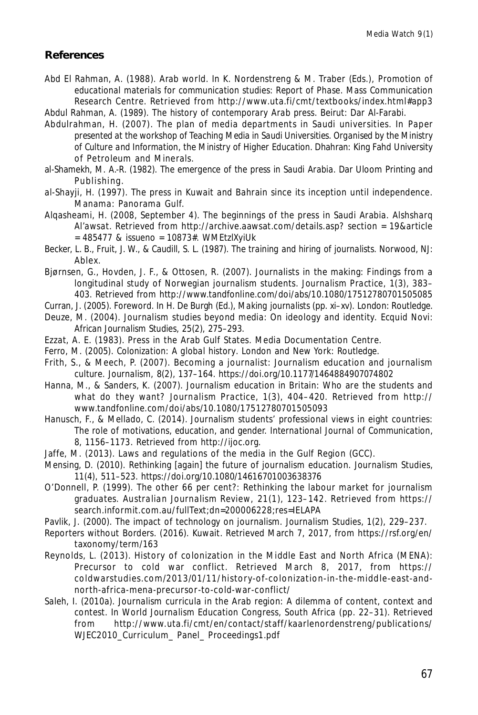#### **References**

Abd El Rahman, A. (1988). Arab world. In K. Nordenstreng & M. Traber (Eds.), *Promotion of educational materials for communication studies: Report of Phase*. Mass Communication Research Centre. Retrieved from http://www.uta.fi/cmt/textbooks/index.html#app3 Abdul Rahman, A. (1989). *The history of contemporary Arab press*. Beirut: Dar Al-Farabi.

Abdulrahman, H. (2007). The plan of media departments in Saudi universities. In *Paper presented at the workshop of Teaching Media in Saudi Universities. Organised by the Ministry of Culture and Information, the Ministry of Higher Education.* Dhahran: King Fahd University of Petroleum and Minerals.

al-Shamekh, M. A.-R. (1982). *The emergence of the press in Saudi Arabia*. Dar Uloom Printing and Publishing.

- al-Shayji, H. (1997). The press in Kuwait and Bahrain since its inception until independence. Manama: Panorama Gulf.
- Alqasheami, H. (2008, September 4). The beginnings of the press in Saudi Arabia. *Alshsharq Al'awsat*. Retrieved from http://archive.aawsat.com/details.asp? section = 19&article  $= 485477$  & issueno = 10873#. WMEtzlXviUk

Becker, L. B., Fruit, J. W., & Caudill, S. L. (1987). *The training and hiring of journalists*. Norwood, NJ: Ablex.

Bjørnsen, G., Hovden, J. F., & Ottosen, R. (2007). Journalists in the making: Findings from a longitudinal study of Norwegian journalism students. *Journalism Practice*, *1*(3), 383– 403. Retrieved from http://www.tandfonline.com/doi/abs/10.1080/17512780701505085

Curran, J. (2005). Foreword. In H. De Burgh (Ed.), *Making journalists* (pp. xi–xv). London: Routledge.

- Deuze, M. (2004). Journalism studies beyond media: On ideology and identity. *Ecquid Novi: African Journalism Studies*, *25*(2), 275–293.
- Ezzat, A. E. (1983). Press in the Arab Gulf States. Media Documentation Centre.
- Ferro, M. (2005). *Colonization: A global history*. London and New York: Routledge.
- Frith, S., & Meech, P. (2007). Becoming a journalist: Journalism education and journalism culture. *Journalism*, *8*(2), 137–164. https://doi.org/10.1177/1464884907074802
- Hanna, M., & Sanders, K. (2007). Journalism education in Britain: Who are the students and what do they want? *Journalism Practice*, *1*(3), 404–420. Retrieved from http:// www.tandfonline.com/doi/abs/10.1080/17512780701505093

Hanusch, F., & Mellado, C. (2014). Journalism students' professional views in eight countries: The role of motivations, education, and gender. *International Journal of Communication*, *8*, 1156–1173. Retrieved from http://ijoc.org.

- Jaffe, M. (2013). Laws and regulations of the media in the Gulf Region (GCC).
- Mensing, D. (2010). Rethinking [again] the future of journalism education. *Journalism Studies*, *11*(4), 511–523. https://doi.org/10.1080/14616701003638376
- O'Donnell, P. (1999). The other 66 per cent?: Rethinking the labour market for journalism graduates. *Australian Journalism Review*, *21*(1), 123–142. Retrieved from https:// search.informit.com.au/fullText;dn=200006228;res=IELAPA
- Pavlik, J. (2000). The impact of technology on journalism. *Journalism Studies*, *1*(2), 229–237.
- Reporters without Borders. (2016). Kuwait. Retrieved March 7, 2017, from https://rsf.org/en/ taxonomy/term/163
- Reynolds, L. (2013). History of colonization in the Middle East and North Africa (MENA): Precursor to cold war conflict. Retrieved March 8, 2017, from https:// coldwarstudies.com/2013/01/11/history-of-colonization-in-the-middle-east-andnorth-africa-mena-precursor-to-cold-war-conflict/
- Saleh, I. (2010a). Journalism curricula in the Arab region: A dilemma of content, context and contest. In *World Journalism Education Congress, South Africa* (pp. 22–31). Retrieved from http://www.uta.fi/cmt/en/contact/staff/kaarlenordenstreng/publications/ WJEC2010\_Curriculum\_ Panel\_ Proceedings1.pdf